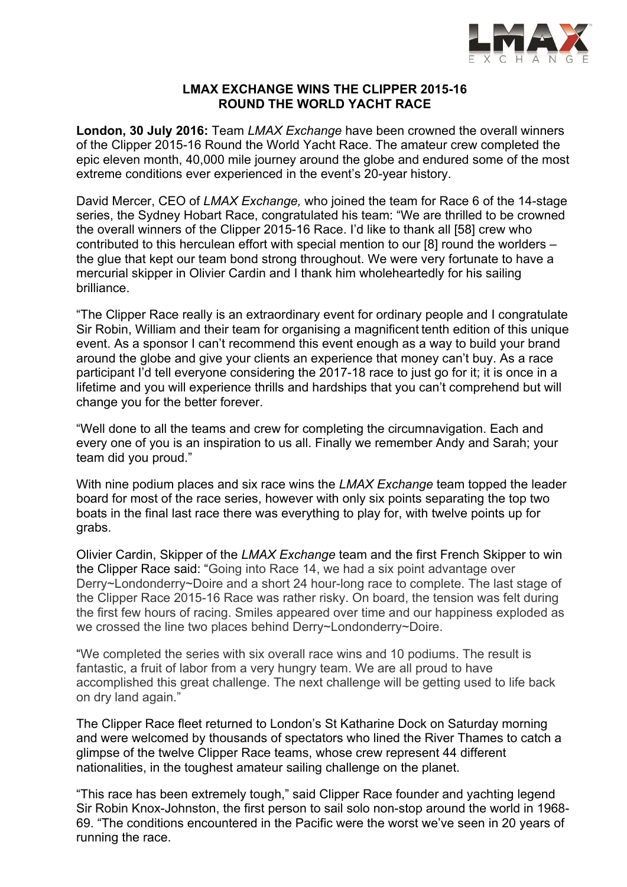

# **LMAX EXCHANGE WINS THE CLIPPER 2015-16 ROUND THE WORLD YACHT RACE**

**London, 30 July 2016:** Team *LMAX Exchange* have been crowned the overall winners of the Clipper 2015-16 Round the World Yacht Race. The amateur crew completed the epic eleven month, 40,000 mile journey around the globe and endured some of the most extreme conditions ever experienced in the event's 20-year history.

David Mercer, CEO of *LMAX Exchange,* who joined the team for Race 6 of the 14-stage series, the Sydney Hobart Race, congratulated his team: "We are thrilled to be crowned the overall winners of the Clipper 2015-16 Race. I'd like to thank all [58] crew who contributed to this herculean effort with special mention to our [8] round the worlders – the glue that kept our team bond strong throughout. We were very fortunate to have a mercurial skipper in Olivier Cardin and I thank him wholeheartedly for his sailing brilliance.

"The Clipper Race really is an extraordinary event for ordinary people and I congratulate Sir Robin, William and their team for organising a magnificent tenth edition of this unique event. As a sponsor I can't recommend this event enough as a way to build your brand around the globe and give your clients an experience that money can't buy. As a race participant I'd tell everyone considering the 2017-18 race to just go for it; it is once in a lifetime and you will experience thrills and hardships that you can't comprehend but will change you for the better forever.

"Well done to all the teams and crew for completing the circumnavigation. Each and every one of you is an inspiration to us all. Finally we remember Andy and Sarah; your team did you proud."

With nine podium places and six race wins the *LMAX Exchange* team topped the leader board for most of the race series, however with only six points separating the top two boats in the final last race there was everything to play for, with twelve points up for grabs.

Olivier Cardin, Skipper of the *LMAX Exchange* team and the first French Skipper to win the Clipper Race said: "Going into Race 14, we had a six point advantage over Derry~Londonderry~Doire and a short 24 hour-long race to complete. The last stage of the Clipper Race 2015-16 Race was rather risky. On board, the tension was felt during the first few hours of racing. Smiles appeared over time and our happiness exploded as we crossed the line two places behind Derry~Londonderry~Doire.

"We completed the series with six overall race wins and 10 podiums. The result is fantastic, a fruit of labor from a very hungry team. We are all proud to have accomplished this great challenge. The next challenge will be getting used to life back on dry land again."

The Clipper Race fleet returned to London's St Katharine Dock on Saturday morning and were welcomed by thousands of spectators who lined the River Thames to catch a glimpse of the twelve Clipper Race teams, whose crew represent 44 different nationalities, in the toughest amateur sailing challenge on the planet.

"This race has been extremely tough," said Clipper Race founder and yachting legend Sir Robin Knox-Johnston, the first person to sail solo non-stop around the world in 1968- 69. "The conditions encountered in the Pacific were the worst we've seen in 20 years of running the race.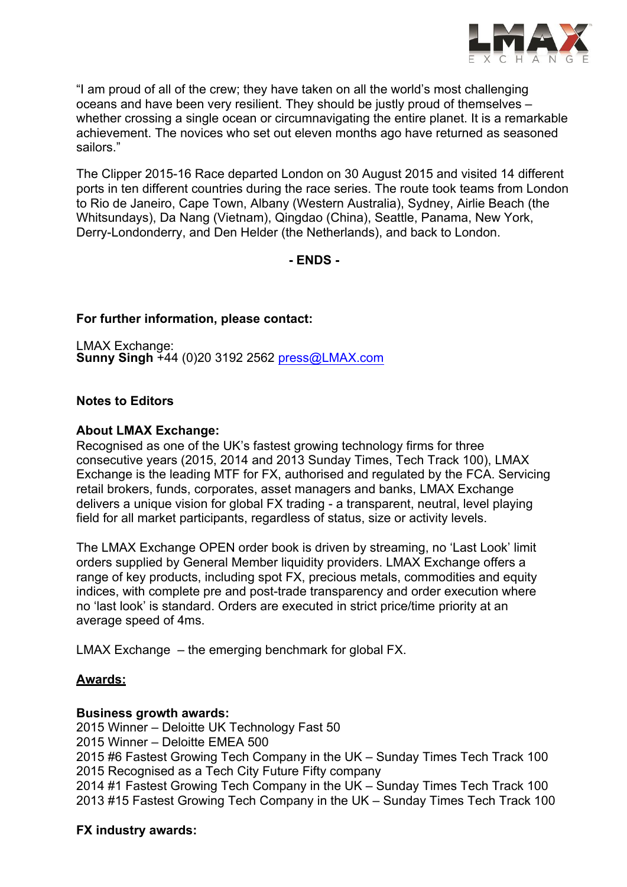

"I am proud of all of the crew; they have taken on all the world's most challenging oceans and have been very resilient. They should be justly proud of themselves – whether crossing a single ocean or circumnavigating the entire planet. It is a remarkable achievement. The novices who set out eleven months ago have returned as seasoned sailors."

The Clipper 2015-16 Race departed London on 30 August 2015 and visited 14 different ports in ten different countries during the race series. The route took teams from London to Rio de Janeiro, Cape Town, Albany (Western Australia), Sydney, Airlie Beach (the Whitsundays), Da Nang (Vietnam), Qingdao (China), Seattle, Panama, New York, Derry-Londonderry, and Den Helder (the Netherlands), and back to London.

**- ENDS -**

# **For further information, please contact:**

LMAX Exchange: **Sunny Singh** +44 (0)20 3192 2562 press@LMAX.com

# **Notes to Editors**

### **About LMAX Exchange:**

Recognised as one of the UK's fastest growing technology firms for three consecutive years (2015, 2014 and 2013 Sunday Times, Tech Track 100), LMAX Exchange is the leading MTF for FX, authorised and regulated by the FCA. Servicing retail brokers, funds, corporates, asset managers and banks, LMAX Exchange delivers a unique vision for global FX trading - a transparent, neutral, level playing field for all market participants, regardless of status, size or activity levels.

The LMAX Exchange OPEN order book is driven by streaming, no 'Last Look' limit orders supplied by General Member liquidity providers. LMAX Exchange offers a range of key products, including spot FX, precious metals, commodities and equity indices, with complete pre and post-trade transparency and order execution where no 'last look' is standard. Orders are executed in strict price/time priority at an average speed of 4ms.

LMAX Exchange – the emerging benchmark for global FX.

#### **Awards:**

#### **Business growth awards:**

2015 Winner – Deloitte UK Technology Fast 50 2015 Winner – Deloitte EMEA 500 2015 #6 Fastest Growing Tech Company in the UK – Sunday Times Tech Track 100 2015 Recognised as a Tech City Future Fifty company 2014 #1 Fastest Growing Tech Company in the UK – Sunday Times Tech Track 100 2013 #15 Fastest Growing Tech Company in the UK – Sunday Times Tech Track 100

# **FX industry awards:**